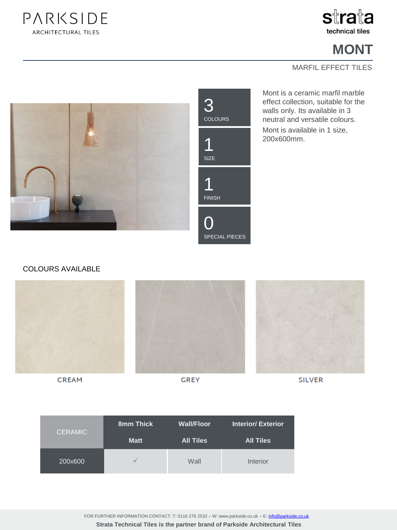



## **MONT**

#### MARFIL EFFECT TILES



Mont is a ceramic marfil marble effect collection, suitable for the walls only. Its available in 3 neutral and versatile colours. Mont is available in 1 size, 200x600mm.

#### COLOURS AVAILABLE



**CREAM** 

**GREY** 

**SILVER** 

| <b>CERAMIC</b> | 8mm Thick    | <b>Wall/Floor</b> | <b>Interior/Exterior</b> |
|----------------|--------------|-------------------|--------------------------|
|                | <b>Matt</b>  | <b>All Tiles</b>  | <b>All Tiles</b>         |
| 200x600        | $\checkmark$ | Wall              | Interior                 |